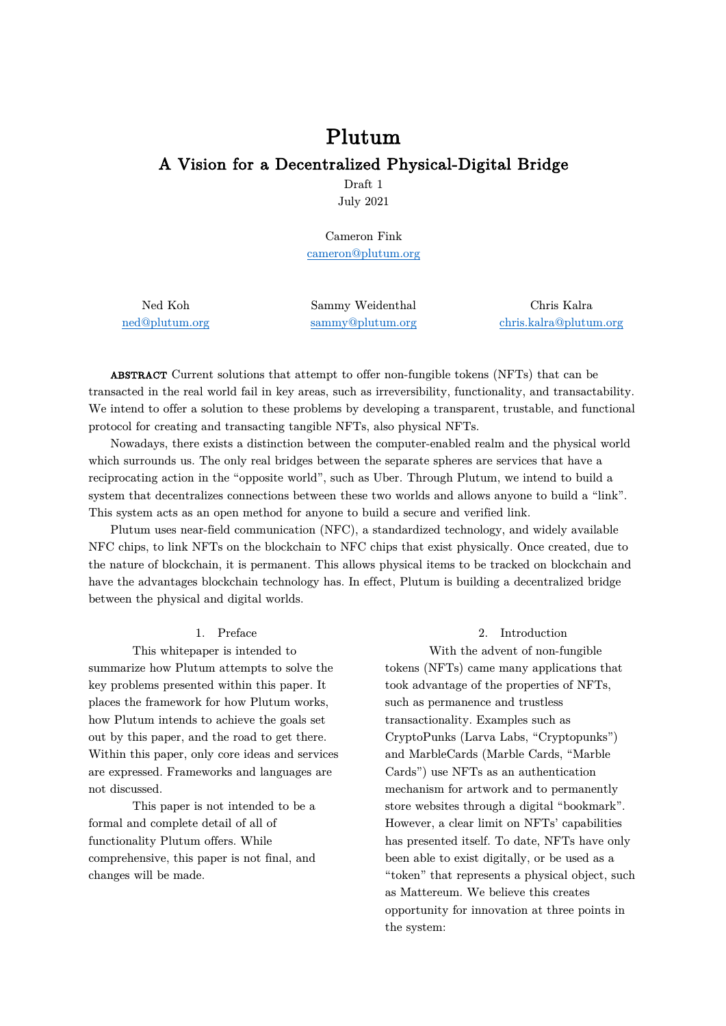# Plutum A Vision for a Decentralized Physical-Digital Bridge

Draft 1 July 2021

Cameron Fink cameron@plutum.org

Ned Koh ned@plutum.org Sammy Weidenthal sammy@plutum.org

Chris Kalra chris.kalra@plutum.org

ABSTRACT Current solutions that attempt to offer non-fungible tokens (NFTs) that can be transacted in the real world fail in key areas, such as irreversibility, functionality, and transactability. We intend to offer a solution to these problems by developing a transparent, trustable, and functional protocol for creating and transacting tangible NFTs, also physical NFTs.

Nowadays, there exists a distinction between the computer-enabled realm and the physical world which surrounds us. The only real bridges between the separate spheres are services that have a reciprocating action in the "opposite world", such as Uber. Through Plutum, we intend to build a system that decentralizes connections between these two worlds and allows anyone to build a "link". This system acts as an open method for anyone to build a secure and verified link.

Plutum uses near-field communication (NFC), a standardized technology, and widely available NFC chips, to link NFTs on the blockchain to NFC chips that exist physically. Once created, due to the nature of blockchain, it is permanent. This allows physical items to be tracked on blockchain and have the advantages blockchain technology has. In effect, Plutum is building a decentralized bridge between the physical and digital worlds.

#### 1. Preface

This whitepaper is intended to summarize how Plutum attempts to solve the key problems presented within this paper. It places the framework for how Plutum works, how Plutum intends to achieve the goals set out by this paper, and the road to get there. Within this paper, only core ideas and services are expressed. Frameworks and languages are not discussed.

This paper is not intended to be a formal and complete detail of all of functionality Plutum offers. While comprehensive, this paper is not final, and changes will be made.

### 2. Introduction

With the advent of non-fungible tokens (NFTs) came many applications that took advantage of the properties of NFTs, such as permanence and trustless transactionality. Examples such as CryptoPunks (Larva Labs, "Cryptopunks") and MarbleCards (Marble Cards, "Marble Cards") use NFTs as an authentication mechanism for artwork and to permanently store websites through a digital "bookmark". However, a clear limit on NFTs' capabilities has presented itself. To date, NFTs have only been able to exist digitally, or be used as a "token" that represents a physical object, such as Mattereum. We believe this creates opportunity for innovation at three points in the system: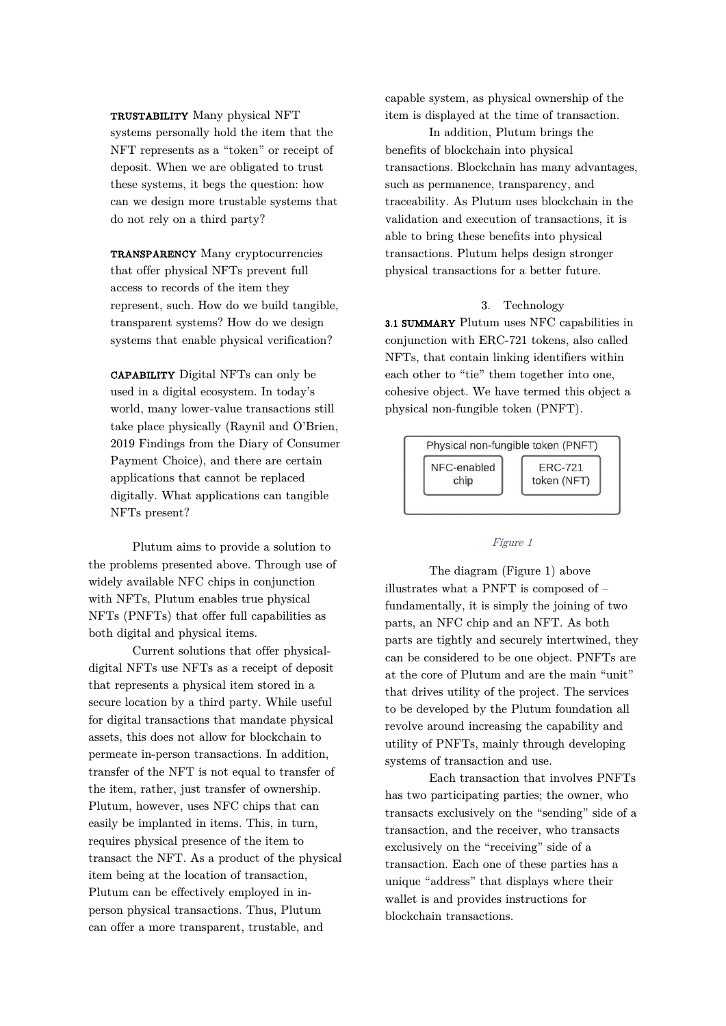TRUSTABILITY Many physical NFT systems personally hold the item that the NFT represents as a "token" or receipt of deposit. When we are obligated to trust these systems, it begs the question: how can we design more trustable systems that do not rely on a third party?

TRANSPARENCY Many cryptocurrencies that offer physical NFTs prevent full access to records of the item they represent, such. How do we build tangible, transparent systems? How do we design systems that enable physical verification?

CAPABILITY Digital NFTs can only be used in a digital ecosystem. In today's world, many lower-value transactions still take place physically (Raynil and O'Brien, 2019 Findings from the Diary of Consumer Payment Choice), and there are certain applications that cannot be replaced digitally. What applications can tangible NFTs present?

Plutum aims to provide a solution to the problems presented above. Through use of widely available NFC chips in conjunction with NFTs, Plutum enables true physical NFTs (PNFTs) that offer full capabilities as both digital and physical items.

Current solutions that offer physicaldigital NFTs use NFTs as a receipt of deposit that represents a physical item stored in a secure location by a third party. While useful for digital transactions that mandate physical assets, this does not allow for blockchain to permeate in-person transactions. In addition, transfer of the NFT is not equal to transfer of the item, rather, just transfer of ownership. Plutum, however, uses NFC chips that can easily be implanted in items. This, in turn, requires physical presence of the item to transact the NFT. As a product of the physical item being at the location of transaction, Plutum can be effectively employed in inperson physical transactions. Thus, Plutum can offer a more transparent, trustable, and

capable system, as physical ownership of the item is displayed at the time of transaction.

In addition, Plutum brings the benefits of blockchain into physical transactions. Blockchain has many advantages, such as permanence, transparency, and traceability. As Plutum uses blockchain in the validation and execution of transactions, it is able to bring these benefits into physical transactions. Plutum helps design stronger physical transactions for a better future.

#### 3. Technology

3.1 SUMMARY Plutum uses NFC capabilities in conjunction with ERC-721 tokens, also called NFTs, that contain linking identifiers within each other to "tie" them together into one, cohesive object. We have termed this object a physical non-fungible token (PNFT).



#### Figure 1

The diagram (Figure 1) above illustrates what a PNFT is composed of – fundamentally, it is simply the joining of two parts, an NFC chip and an NFT. As both parts are tightly and securely intertwined, they can be considered to be one object. PNFTs are at the core of Plutum and are the main "unit" that drives utility of the project. The services to be developed by the Plutum foundation all revolve around increasing the capability and utility of PNFTs, mainly through developing systems of transaction and use.

Each transaction that involves PNFTs has two participating parties; the owner, who transacts exclusively on the "sending" side of a transaction, and the receiver, who transacts exclusively on the "receiving" side of a transaction. Each one of these parties has a unique "address" that displays where their wallet is and provides instructions for blockchain transactions.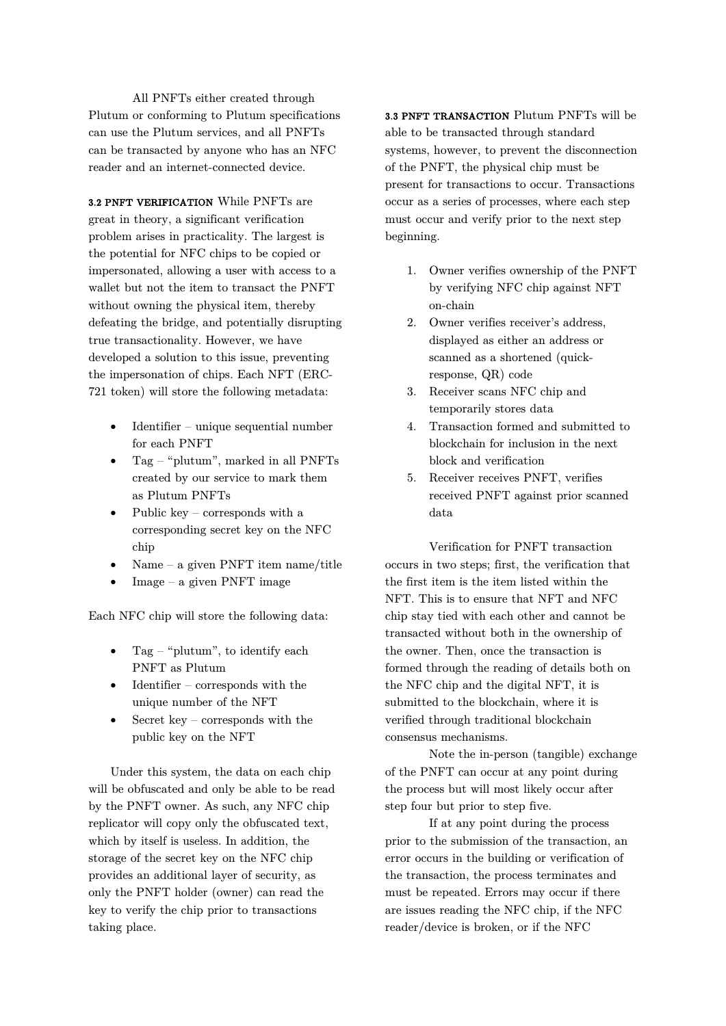All PNFTs either created through Plutum or conforming to Plutum specifications can use the Plutum services, and all PNFTs can be transacted by anyone who has an NFC reader and an internet-connected device.

3.2 PNFT VERIFICATION While PNFTs are great in theory, a significant verification problem arises in practicality. The largest is the potential for NFC chips to be copied or impersonated, allowing a user with access to a wallet but not the item to transact the PNFT without owning the physical item, thereby defeating the bridge, and potentially disrupting true transactionality. However, we have developed a solution to this issue, preventing the impersonation of chips. Each NFT (ERC-721 token) will store the following metadata:

- Identifier unique sequential number for each PNFT
- Tag "plutum", marked in all PNFTs created by our service to mark them as Plutum PNFTs
- Public key corresponds with a corresponding secret key on the NFC chip
- Name a given PNFT item name/title
- $Image a given PNFT image$

Each NFC chip will store the following data:

- Tag "plutum", to identify each PNFT as Plutum
- $\bullet$  Identifier corresponds with the unique number of the NFT
- Secret key corresponds with the public key on the NFT

Under this system, the data on each chip will be obfuscated and only be able to be read by the PNFT owner. As such, any NFC chip replicator will copy only the obfuscated text, which by itself is useless. In addition, the storage of the secret key on the NFC chip provides an additional layer of security, as only the PNFT holder (owner) can read the key to verify the chip prior to transactions taking place.

3.3 PNFT TRANSACTION Plutum PNFTs will be able to be transacted through standard systems, however, to prevent the disconnection of the PNFT, the physical chip must be present for transactions to occur. Transactions occur as a series of processes, where each step must occur and verify prior to the next step beginning.

- 1. Owner verifies ownership of the PNFT by verifying NFC chip against NFT on-chain
- 2. Owner verifies receiver's address, displayed as either an address or scanned as a shortened (quickresponse, QR) code
- 3. Receiver scans NFC chip and temporarily stores data
- 4. Transaction formed and submitted to blockchain for inclusion in the next block and verification
- 5. Receiver receives PNFT, verifies received PNFT against prior scanned data

Verification for PNFT transaction occurs in two steps; first, the verification that the first item is the item listed within the NFT. This is to ensure that NFT and NFC chip stay tied with each other and cannot be transacted without both in the ownership of the owner. Then, once the transaction is formed through the reading of details both on the NFC chip and the digital NFT, it is submitted to the blockchain, where it is verified through traditional blockchain consensus mechanisms.

Note the in-person (tangible) exchange of the PNFT can occur at any point during the process but will most likely occur after step four but prior to step five.

If at any point during the process prior to the submission of the transaction, an error occurs in the building or verification of the transaction, the process terminates and must be repeated. Errors may occur if there are issues reading the NFC chip, if the NFC reader/device is broken, or if the NFC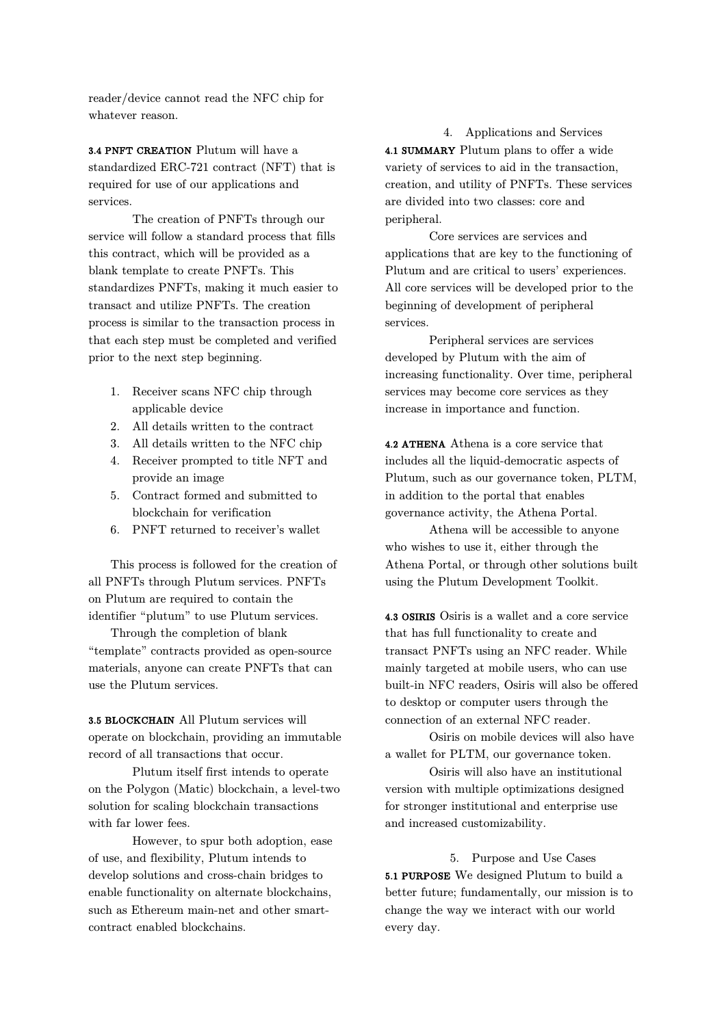reader/device cannot read the NFC chip for whatever reason.

3.4 PNFT CREATION Plutum will have a standardized ERC-721 contract (NFT) that is required for use of our applications and services.

The creation of PNFTs through our service will follow a standard process that fills this contract, which will be provided as a blank template to create PNFTs. This standardizes PNFTs, making it much easier to transact and utilize PNFTs. The creation process is similar to the transaction process in that each step must be completed and verified prior to the next step beginning.

- 1. Receiver scans NFC chip through applicable device
- 2. All details written to the contract
- 3. All details written to the NFC chip
- 4. Receiver prompted to title NFT and provide an image
- 5. Contract formed and submitted to blockchain for verification
- 6. PNFT returned to receiver's wallet

This process is followed for the creation of all PNFTs through Plutum services. PNFTs on Plutum are required to contain the identifier "plutum" to use Plutum services.

Through the completion of blank "template" contracts provided as open-source materials, anyone can create PNFTs that can use the Plutum services.

3.5 BLOCKCHAIN All Plutum services will operate on blockchain, providing an immutable record of all transactions that occur.

Plutum itself first intends to operate on the Polygon (Matic) blockchain, a level-two solution for scaling blockchain transactions with far lower fees.

However, to spur both adoption, ease of use, and flexibility, Plutum intends to develop solutions and cross-chain bridges to enable functionality on alternate blockchains, such as Ethereum main-net and other smartcontract enabled blockchains.

4. Applications and Services 4.1 SUMMARY Plutum plans to offer a wide variety of services to aid in the transaction, creation, and utility of PNFTs. These services are divided into two classes: core and peripheral.

Core services are services and applications that are key to the functioning of Plutum and are critical to users' experiences. All core services will be developed prior to the beginning of development of peripheral services.

Peripheral services are services developed by Plutum with the aim of increasing functionality. Over time, peripheral services may become core services as they increase in importance and function.

4.2 ATHENA Athena is a core service that includes all the liquid-democratic aspects of Plutum, such as our governance token, PLTM, in addition to the portal that enables governance activity, the Athena Portal.

Athena will be accessible to anyone who wishes to use it, either through the Athena Portal, or through other solutions built using the Plutum Development Toolkit.

4.3 OSIRIS Osiris is a wallet and a core service that has full functionality to create and transact PNFTs using an NFC reader. While mainly targeted at mobile users, who can use built-in NFC readers, Osiris will also be offered to desktop or computer users through the connection of an external NFC reader.

Osiris on mobile devices will also have a wallet for PLTM, our governance token.

Osiris will also have an institutional version with multiple optimizations designed for stronger institutional and enterprise use and increased customizability.

5. Purpose and Use Cases 5.1 PURPOSE We designed Plutum to build a better future; fundamentally, our mission is to change the way we interact with our world every day.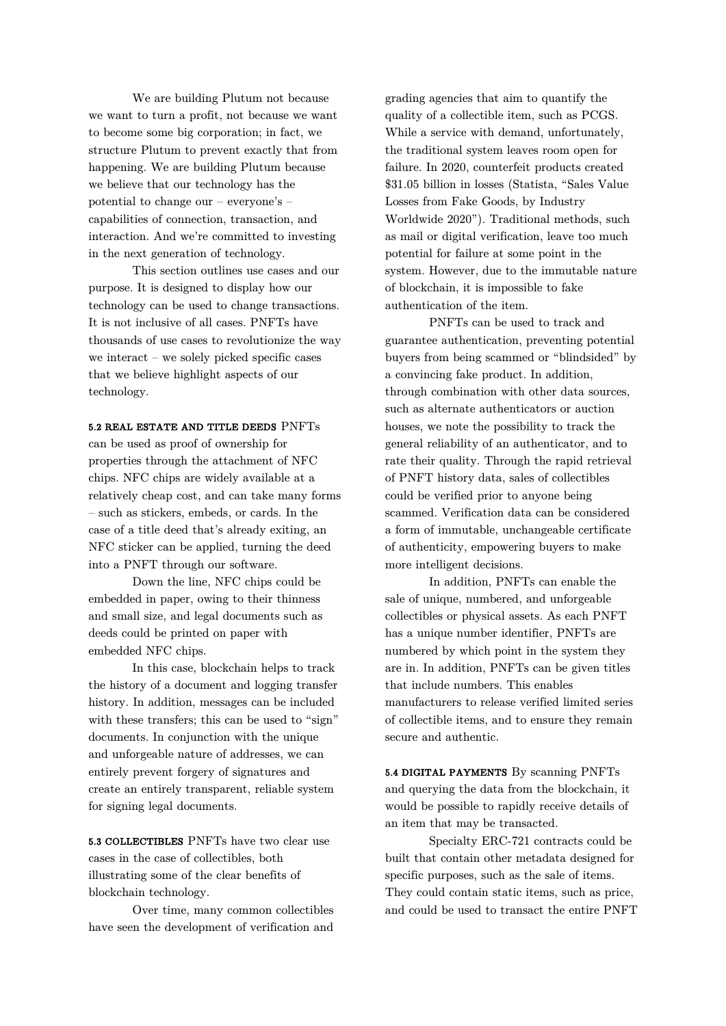We are building Plutum not because we want to turn a profit, not because we want to become some big corporation; in fact, we structure Plutum to prevent exactly that from happening. We are building Plutum because we believe that our technology has the potential to change our – everyone's – capabilities of connection, transaction, and interaction. And we're committed to investing in the next generation of technology.

This section outlines use cases and our purpose. It is designed to display how our technology can be used to change transactions. It is not inclusive of all cases. PNFTs have thousands of use cases to revolutionize the way we interact – we solely picked specific cases that we believe highlight aspects of our technology.

# 5.2 REAL ESTATE AND TITLE DEEDS PNFTs

can be used as proof of ownership for properties through the attachment of NFC chips. NFC chips are widely available at a relatively cheap cost, and can take many forms – such as stickers, embeds, or cards. In the case of a title deed that's already exiting, an NFC sticker can be applied, turning the deed into a PNFT through our software.

Down the line, NFC chips could be embedded in paper, owing to their thinness and small size, and legal documents such as deeds could be printed on paper with embedded NFC chips.

In this case, blockchain helps to track the history of a document and logging transfer history. In addition, messages can be included with these transfers; this can be used to "sign" documents. In conjunction with the unique and unforgeable nature of addresses, we can entirely prevent forgery of signatures and create an entirely transparent, reliable system for signing legal documents.

5.3 COLLECTIBLES PNFTs have two clear use cases in the case of collectibles, both illustrating some of the clear benefits of blockchain technology.

Over time, many common collectibles have seen the development of verification and

grading agencies that aim to quantify the quality of a collectible item, such as PCGS. While a service with demand, unfortunately, the traditional system leaves room open for failure. In 2020, counterfeit products created \$31.05 billion in losses (Statista, "Sales Value Losses from Fake Goods, by Industry Worldwide 2020"). Traditional methods, such as mail or digital verification, leave too much potential for failure at some point in the system. However, due to the immutable nature of blockchain, it is impossible to fake authentication of the item.

PNFTs can be used to track and guarantee authentication, preventing potential buyers from being scammed or "blindsided" by a convincing fake product. In addition, through combination with other data sources, such as alternate authenticators or auction houses, we note the possibility to track the general reliability of an authenticator, and to rate their quality. Through the rapid retrieval of PNFT history data, sales of collectibles could be verified prior to anyone being scammed. Verification data can be considered a form of immutable, unchangeable certificate of authenticity, empowering buyers to make more intelligent decisions.

In addition, PNFTs can enable the sale of unique, numbered, and unforgeable collectibles or physical assets. As each PNFT has a unique number identifier, PNFTs are numbered by which point in the system they are in. In addition, PNFTs can be given titles that include numbers. This enables manufacturers to release verified limited series of collectible items, and to ensure they remain secure and authentic.

5.4 DIGITAL PAYMENTS By scanning PNFTs and querying the data from the blockchain, it would be possible to rapidly receive details of an item that may be transacted.

Specialty ERC-721 contracts could be built that contain other metadata designed for specific purposes, such as the sale of items. They could contain static items, such as price, and could be used to transact the entire PNFT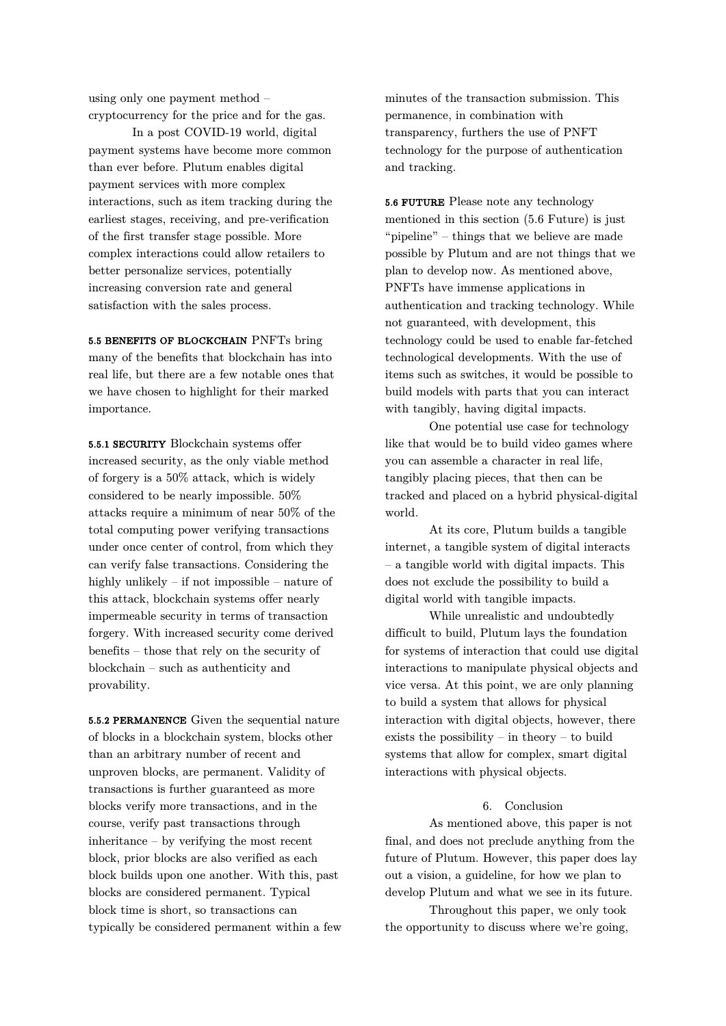using only one payment method – cryptocurrency for the price and for the gas.

In a post COVID-19 world, digital payment systems have become more common than ever before. Plutum enables digital payment services with more complex interactions, such as item tracking during the earliest stages, receiving, and pre-verification of the first transfer stage possible. More complex interactions could allow retailers to better personalize services, potentially increasing conversion rate and general satisfaction with the sales process.

5.5 BENEFITS OF BLOCKCHAIN PNFTs bring many of the benefits that blockchain has into real life, but there are a few notable ones that we have chosen to highlight for their marked importance.

5.5.1 SECURITY Blockchain systems offer increased security, as the only viable method of forgery is a 50% attack, which is widely considered to be nearly impossible. 50% attacks require a minimum of near 50% of the total computing power verifying transactions under once center of control, from which they can verify false transactions. Considering the highly unlikely – if not impossible – nature of this attack, blockchain systems offer nearly impermeable security in terms of transaction forgery. With increased security come derived benefits – those that rely on the security of blockchain – such as authenticity and provability.

5.5.2 PERMANENCE Given the sequential nature of blocks in a blockchain system, blocks other than an arbitrary number of recent and unproven blocks, are permanent. Validity of transactions is further guaranteed as more blocks verify more transactions, and in the course, verify past transactions through inheritance – by verifying the most recent block, prior blocks are also verified as each block builds upon one another. With this, past blocks are considered permanent. Typical block time is short, so transactions can typically be considered permanent within a few minutes of the transaction submission. This permanence, in combination with transparency, furthers the use of PNFT technology for the purpose of authentication and tracking.

5.6 FUTURE Please note any technology mentioned in this section (5.6 Future) is just "pipeline" – things that we believe are made possible by Plutum and are not things that we plan to develop now. As mentioned above, PNFTs have immense applications in authentication and tracking technology. While not guaranteed, with development, this technology could be used to enable far-fetched technological developments. With the use of items such as switches, it would be possible to build models with parts that you can interact with tangibly, having digital impacts.

One potential use case for technology like that would be to build video games where you can assemble a character in real life, tangibly placing pieces, that then can be tracked and placed on a hybrid physical-digital world.

At its core, Plutum builds a tangible internet, a tangible system of digital interacts – a tangible world with digital impacts. This does not exclude the possibility to build a digital world with tangible impacts.

While unrealistic and undoubtedly difficult to build, Plutum lays the foundation for systems of interaction that could use digital interactions to manipulate physical objects and vice versa. At this point, we are only planning to build a system that allows for physical interaction with digital objects, however, there exists the possibility – in theory – to build systems that allow for complex, smart digital interactions with physical objects.

# 6. Conclusion

As mentioned above, this paper is not final, and does not preclude anything from the future of Plutum. However, this paper does lay out a vision, a guideline, for how we plan to develop Plutum and what we see in its future.

Throughout this paper, we only took the opportunity to discuss where we're going,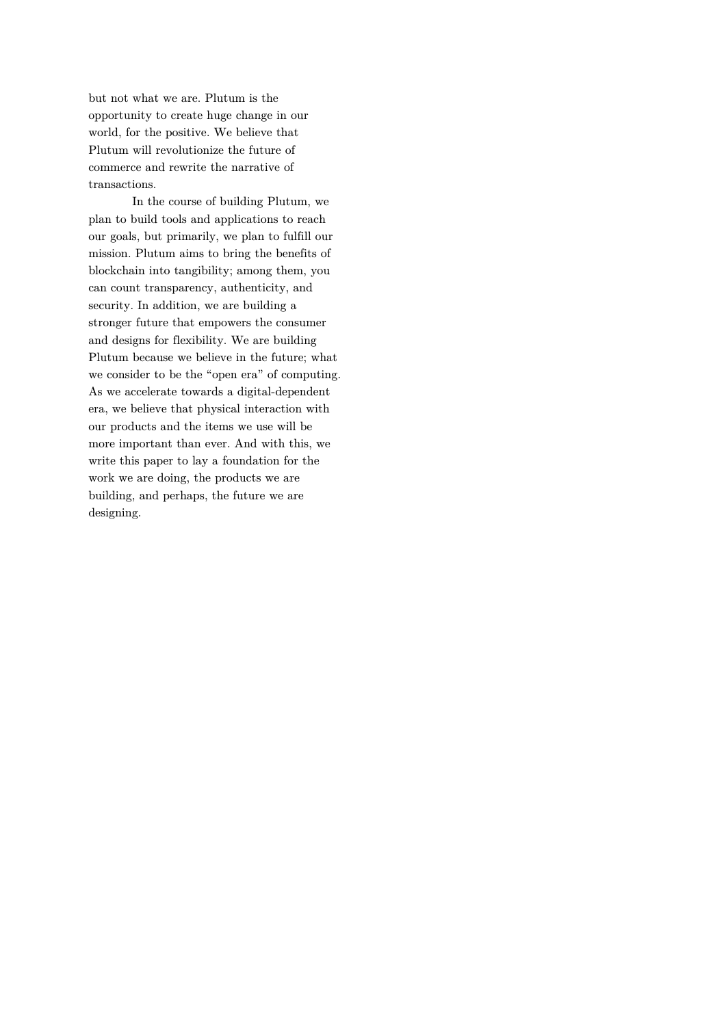but not what we are. Plutum is the opportunity to create huge change in our world, for the positive. We believe that Plutum will revolutionize the future of commerce and rewrite the narrative of transactions.

In the course of building Plutum, we plan to build tools and applications to reach our goals, but primarily, we plan to fulfill our mission. Plutum aims to bring the benefits of blockchain into tangibility; among them, you can count transparency, authenticity, and security. In addition, we are building a stronger future that empowers the consumer and designs for flexibility. We are building Plutum because we believe in the future; what we consider to be the "open era" of computing. As we accelerate towards a digital-dependent era, we believe that physical interaction with our products and the items we use will be more important than ever. And with this, we write this paper to lay a foundation for the work we are doing, the products we are building, and perhaps, the future we are designing.